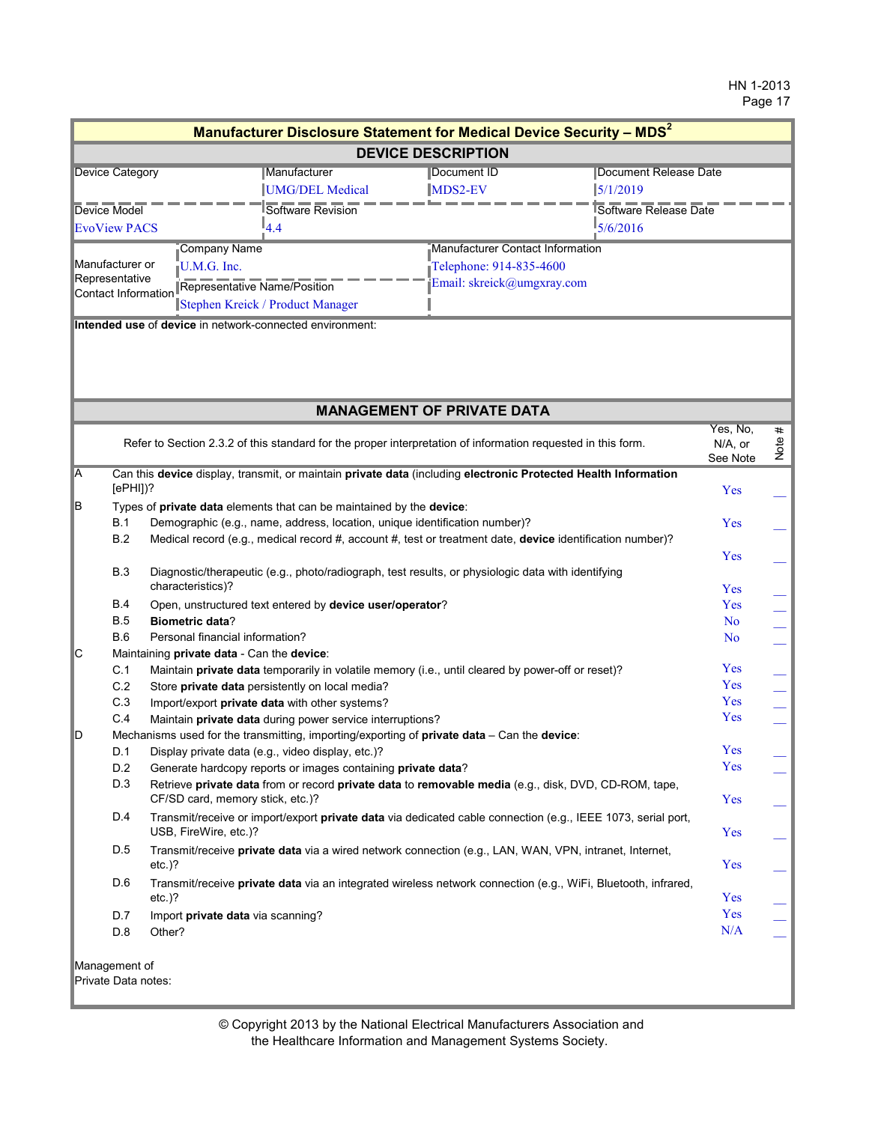|                                       |                                                                                                   |                                                                            | Manufacturer Disclosure Statement for Medical Device Security - MDS <sup>2</sup>                               |                                 |           |
|---------------------------------------|---------------------------------------------------------------------------------------------------|----------------------------------------------------------------------------|----------------------------------------------------------------------------------------------------------------|---------------------------------|-----------|
|                                       |                                                                                                   |                                                                            | <b>DEVICE DESCRIPTION</b>                                                                                      |                                 |           |
| <b>Device Category</b>                |                                                                                                   | Manufacturer                                                               | Document ID                                                                                                    | <b>Document Release Date</b>    |           |
|                                       |                                                                                                   | UMG/DEL Medical                                                            | 5/1/2019<br>MDS2-EV                                                                                            |                                 |           |
| Device Model                          |                                                                                                   | Software Revision                                                          |                                                                                                                | Software Release Date           |           |
| <b>EvoView PACS</b>                   |                                                                                                   | $I_4.4$                                                                    | 5/6/2016                                                                                                       |                                 |           |
|                                       | Company Name                                                                                      |                                                                            | Manufacturer Contact Information                                                                               |                                 |           |
| Manufacturer or                       | U.M.G. Inc.                                                                                       |                                                                            | Telephone: 914-835-4600                                                                                        |                                 |           |
| Representative<br>Contact Information | Representative Name/Position                                                                      |                                                                            | Email: skreick@umgxray.com                                                                                     |                                 |           |
|                                       | Stephen Kreick / Product Manager                                                                  |                                                                            |                                                                                                                |                                 |           |
|                                       | Intended use of device in network-connected environment:                                          |                                                                            |                                                                                                                |                                 |           |
|                                       |                                                                                                   |                                                                            |                                                                                                                |                                 |           |
|                                       |                                                                                                   |                                                                            |                                                                                                                |                                 |           |
|                                       |                                                                                                   |                                                                            | <b>MANAGEMENT OF PRIVATE DATA</b>                                                                              |                                 |           |
|                                       |                                                                                                   |                                                                            | Refer to Section 2.3.2 of this standard for the proper interpretation of information requested in this form.   | Yes, No,<br>N/A, or<br>See Note | #<br>Note |
| A                                     |                                                                                                   |                                                                            | Can this device display, transmit, or maintain private data (including electronic Protected Health Information |                                 |           |
| $[ePHI]$ ?                            |                                                                                                   |                                                                            |                                                                                                                | Yes                             |           |
| B                                     |                                                                                                   | Types of private data elements that can be maintained by the device:       |                                                                                                                |                                 |           |
| <b>B.1</b>                            |                                                                                                   | Demographic (e.g., name, address, location, unique identification number)? |                                                                                                                | Yes                             |           |
| B.2                                   |                                                                                                   |                                                                            | Medical record (e.g., medical record #, account #, test or treatment date, device identification number)?      |                                 |           |
|                                       |                                                                                                   |                                                                            |                                                                                                                | Yes                             |           |
| <b>B.3</b>                            |                                                                                                   |                                                                            | Diagnostic/therapeutic (e.g., photo/radiograph, test results, or physiologic data with identifying             |                                 |           |
|                                       | characteristics)?                                                                                 |                                                                            |                                                                                                                | Yes                             |           |
| B.4                                   |                                                                                                   | Open, unstructured text entered by device user/operator?                   |                                                                                                                | Yes                             |           |
| <b>B.5</b>                            | <b>Biometric data?</b>                                                                            |                                                                            |                                                                                                                | N <sub>o</sub>                  |           |
| <b>B.6</b>                            | Personal financial information?                                                                   |                                                                            |                                                                                                                | N <sub>o</sub>                  |           |
| IС<br>C.1                             | Maintaining private data - Can the device:                                                        |                                                                            | Maintain private data temporarily in volatile memory (i.e., until cleared by power-off or reset)?              | Yes                             |           |
| C.2                                   |                                                                                                   |                                                                            |                                                                                                                | Yes                             |           |
| C.3                                   | Store private data persistently on local media?<br>Import/export private data with other systems? |                                                                            |                                                                                                                | Yes                             |           |
| C.4                                   |                                                                                                   | Maintain private data during power service interruptions?                  |                                                                                                                | Yes                             |           |
| D                                     |                                                                                                   |                                                                            | Mechanisms used for the transmitting, importing/exporting of private data - Can the device:                    |                                 |           |
| D.1                                   | Display private data (e.g., video display, etc.)?                                                 |                                                                            |                                                                                                                | Yes                             |           |
| D.2                                   |                                                                                                   | Generate hardcopy reports or images containing private data?               |                                                                                                                | Yes                             |           |
| D.3                                   |                                                                                                   |                                                                            | Retrieve private data from or record private data to removable media (e.g., disk, DVD, CD-ROM, tape,           |                                 |           |
|                                       | CF/SD card, memory stick, etc.)?                                                                  |                                                                            |                                                                                                                | Yes                             |           |
| D.4                                   |                                                                                                   |                                                                            | Transmit/receive or import/export private data via dedicated cable connection (e.g., IEEE 1073, serial port,   |                                 |           |
|                                       | USB, FireWire, etc.)?                                                                             |                                                                            |                                                                                                                | Yes                             |           |
| D.5                                   |                                                                                                   |                                                                            | Transmit/receive private data via a wired network connection (e.g., LAN, WAN, VPN, intranet, Internet,         |                                 |           |
|                                       | $etc.$ )?                                                                                         |                                                                            |                                                                                                                | Yes                             |           |
| D.6                                   |                                                                                                   |                                                                            | Transmit/receive private data via an integrated wireless network connection (e.g., WiFi, Bluetooth, infrared,  |                                 |           |
|                                       | $etc.$ )?                                                                                         |                                                                            |                                                                                                                | Yes                             |           |
| D.7                                   | Import private data via scanning?                                                                 |                                                                            |                                                                                                                | Yes                             |           |
| D.8                                   | Other?                                                                                            |                                                                            |                                                                                                                | N/A                             |           |
|                                       |                                                                                                   |                                                                            |                                                                                                                |                                 |           |
| Management of                         |                                                                                                   |                                                                            |                                                                                                                |                                 |           |
| Private Data notes:                   |                                                                                                   |                                                                            |                                                                                                                |                                 |           |
|                                       |                                                                                                   |                                                                            |                                                                                                                |                                 |           |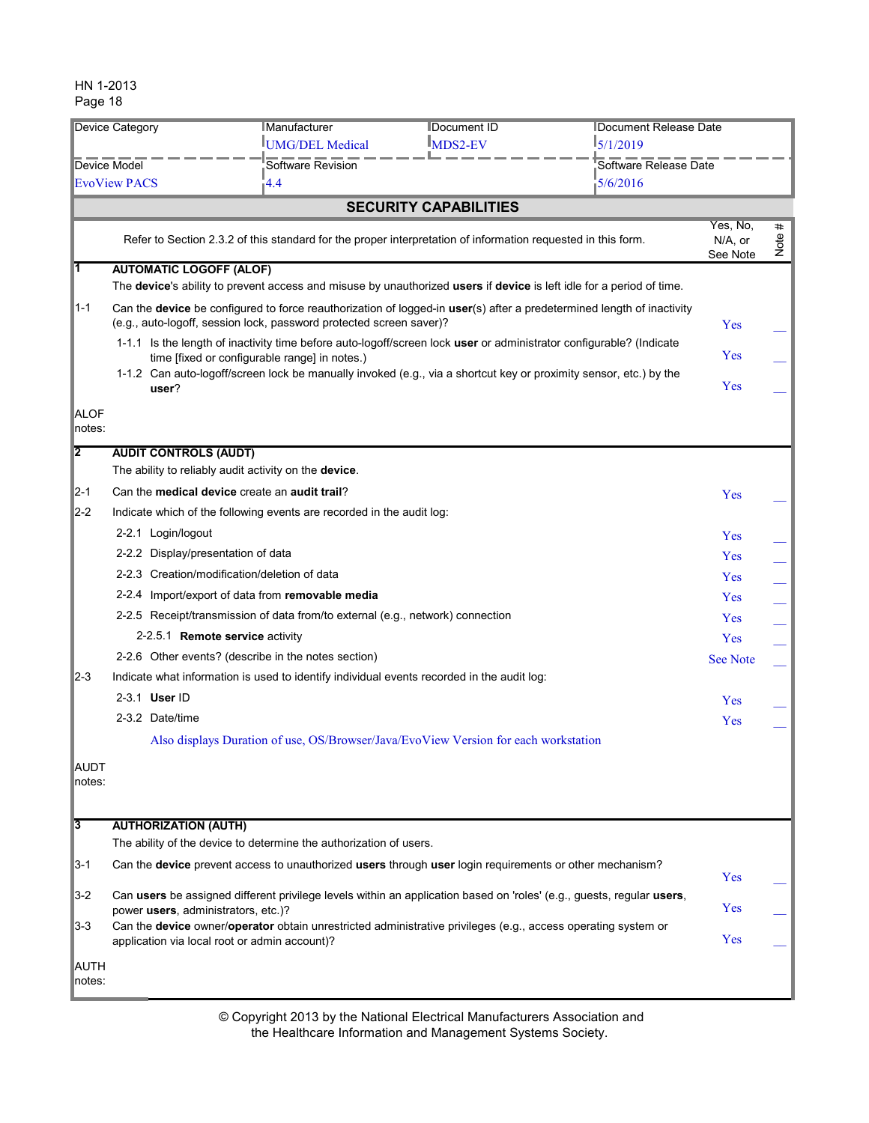| Device Category<br>Device Model |                                                                                                                                                                | <b>Manufacturer</b>                                                                                                                                                                          | <b>IDocument ID</b>          | Document Release Date |                                 |           |
|---------------------------------|----------------------------------------------------------------------------------------------------------------------------------------------------------------|----------------------------------------------------------------------------------------------------------------------------------------------------------------------------------------------|------------------------------|-----------------------|---------------------------------|-----------|
|                                 |                                                                                                                                                                | <b>IUMG/DEL Medical</b>                                                                                                                                                                      | <b>MDS2-EV</b>               | 15/1/2019             |                                 |           |
|                                 |                                                                                                                                                                | Software Revision                                                                                                                                                                            |                              | Software Release Date |                                 |           |
|                                 | $-4.4$<br>5/6/2016<br><b>EvoView PACS</b>                                                                                                                      |                                                                                                                                                                                              |                              |                       |                                 |           |
|                                 |                                                                                                                                                                |                                                                                                                                                                                              | <b>SECURITY CAPABILITIES</b> |                       |                                 |           |
|                                 |                                                                                                                                                                | Refer to Section 2.3.2 of this standard for the proper interpretation of information requested in this form.                                                                                 |                              |                       | Yes, No,<br>N/A, or<br>See Note | #<br>Note |
| lT.                             | <b>AUTOMATIC LOGOFF (ALOF)</b>                                                                                                                                 | The device's ability to prevent access and misuse by unauthorized users if device is left idle for a period of time.                                                                         |                              |                       |                                 |           |
| $1 - 1$                         |                                                                                                                                                                | Can the device be configured to force reauthorization of logged-in user(s) after a predetermined length of inactivity<br>(e.g., auto-logoff, session lock, password protected screen saver)? |                              |                       | Yes                             |           |
|                                 |                                                                                                                                                                | 1-1.1 Is the length of inactivity time before auto-logoff/screen lock user or administrator configurable? (Indicate<br>time [fixed or configurable range] in notes.)                         |                              |                       | Yes                             |           |
|                                 | user?                                                                                                                                                          | 1-1.2 Can auto-logoff/screen lock be manually invoked (e.g., via a shortcut key or proximity sensor, etc.) by the                                                                            |                              |                       | Yes                             |           |
| <b>ALOF</b><br>notes:           |                                                                                                                                                                |                                                                                                                                                                                              |                              |                       |                                 |           |
| 12                              | <b>AUDIT CONTROLS (AUDT)</b>                                                                                                                                   |                                                                                                                                                                                              |                              |                       |                                 |           |
|                                 |                                                                                                                                                                | The ability to reliably audit activity on the device.                                                                                                                                        |                              |                       |                                 |           |
| $\mathbb{Z}$ -1                 |                                                                                                                                                                | Can the <b>medical device</b> create an <b>audit trail?</b>                                                                                                                                  |                              |                       | Yes                             |           |
| $\mathbb{Z}$ -2                 |                                                                                                                                                                | Indicate which of the following events are recorded in the audit log:                                                                                                                        |                              |                       |                                 |           |
|                                 | 2-2.1 Login/logout                                                                                                                                             |                                                                                                                                                                                              |                              |                       | Yes                             |           |
|                                 |                                                                                                                                                                | 2-2.2 Display/presentation of data                                                                                                                                                           |                              |                       | Yes                             |           |
|                                 |                                                                                                                                                                | 2-2.3 Creation/modification/deletion of data                                                                                                                                                 |                              |                       | Yes                             |           |
|                                 |                                                                                                                                                                | 2-2.4 Import/export of data from removable media                                                                                                                                             |                              |                       | Yes                             |           |
|                                 |                                                                                                                                                                | 2-2.5 Receipt/transmission of data from/to external (e.g., network) connection                                                                                                               |                              |                       | <b>Yes</b>                      |           |
|                                 |                                                                                                                                                                | 2-2.5.1 Remote service activity                                                                                                                                                              |                              |                       | Yes                             |           |
|                                 |                                                                                                                                                                | 2-2.6 Other events? (describe in the notes section)                                                                                                                                          |                              |                       | <b>See Note</b>                 |           |
| $2 - 3$                         |                                                                                                                                                                | Indicate what information is used to identify individual events recorded in the audit log:                                                                                                   |                              |                       |                                 |           |
|                                 | 2-3.1 User ID                                                                                                                                                  |                                                                                                                                                                                              |                              |                       | Yes                             |           |
|                                 | 2-3.2 Date/time                                                                                                                                                |                                                                                                                                                                                              |                              |                       | Yes                             |           |
|                                 |                                                                                                                                                                | Also displays Duration of use, OS/Browser/Java/EvoView Version for each workstation                                                                                                          |                              |                       |                                 |           |
| <b>AUDT</b><br>notes:           |                                                                                                                                                                |                                                                                                                                                                                              |                              |                       |                                 |           |
| 13                              | <b>AUTHORIZATION (AUTH)</b>                                                                                                                                    |                                                                                                                                                                                              |                              |                       |                                 |           |
|                                 |                                                                                                                                                                | The ability of the device to determine the authorization of users.                                                                                                                           |                              |                       |                                 |           |
| $3 - 1$                         |                                                                                                                                                                | Can the device prevent access to unauthorized users through user login requirements or other mechanism?                                                                                      |                              |                       | Yes                             |           |
| $\mathbb{I}$ 3-2                |                                                                                                                                                                | Can users be assigned different privilege levels within an application based on 'roles' (e.g., guests, regular users,<br>power users, administrators, etc.)?                                 |                              |                       | Yes                             |           |
| $3-3$                           | Can the device owner/operator obtain unrestricted administrative privileges (e.g., access operating system or<br>application via local root or admin account)? |                                                                                                                                                                                              |                              | Yes                   |                                 |           |
| <b>AUTH</b><br>notes:           |                                                                                                                                                                |                                                                                                                                                                                              |                              |                       |                                 |           |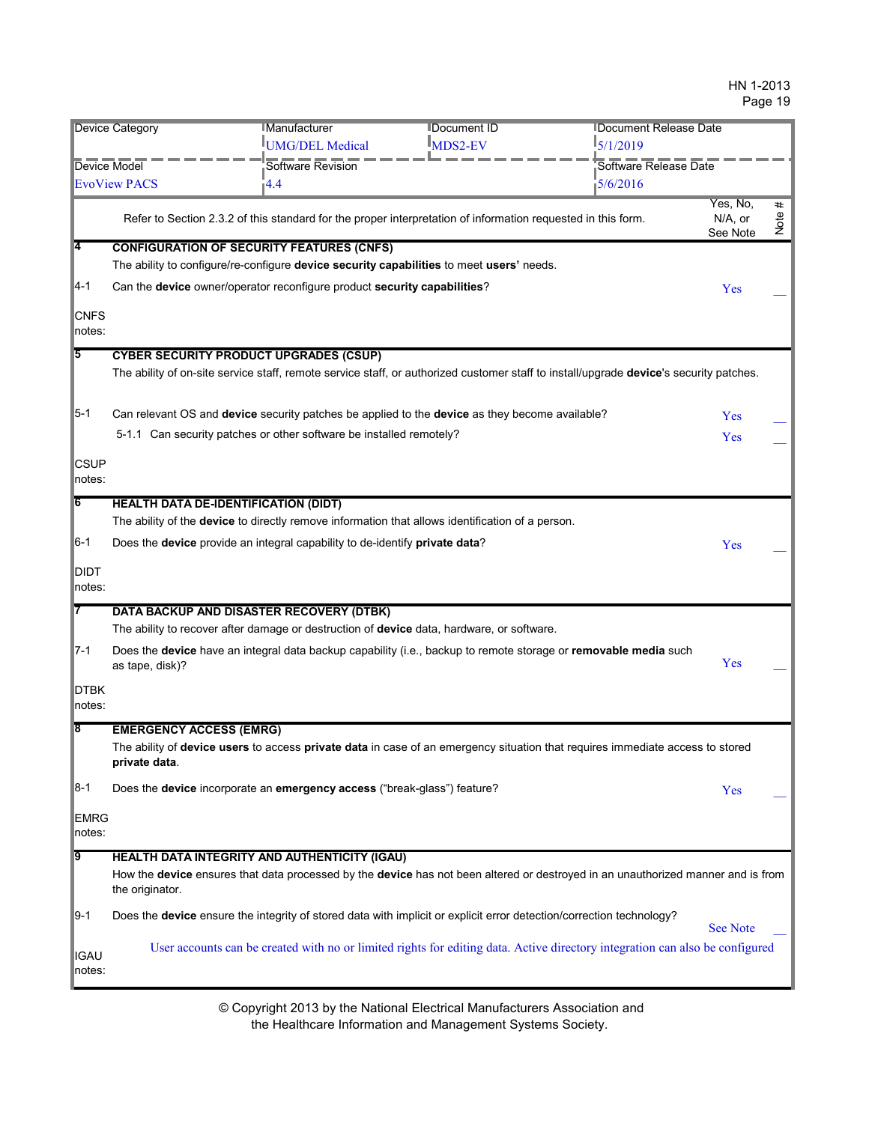|                       | <b>Device Category</b>                      | Manufacturer                                                                                                                           | <b>IDocument ID</b>    | Document Release Date |                                 |           |
|-----------------------|---------------------------------------------|----------------------------------------------------------------------------------------------------------------------------------------|------------------------|-----------------------|---------------------------------|-----------|
|                       |                                             | UMG/DEL Medical                                                                                                                        | $\mathbb{I}_{MDS2-EV}$ | 5/1/2019              |                                 |           |
|                       |                                             |                                                                                                                                        |                        |                       |                                 |           |
| Device Model          |                                             | Software Revision                                                                                                                      |                        | Software Release Date |                                 |           |
|                       | <b>EvoView PACS</b>                         | $\overline{1}4.4$                                                                                                                      |                        | 5/6/2016              |                                 |           |
|                       |                                             | Refer to Section 2.3.2 of this standard for the proper interpretation of information requested in this form.                           |                        |                       | Yes, No,<br>N/A, or<br>See Note | #<br>Note |
| <b>4</b>              |                                             | <b>CONFIGURATION OF SECURITY FEATURES (CNFS)</b>                                                                                       |                        |                       |                                 |           |
|                       |                                             | The ability to configure/re-configure device security capabilities to meet users' needs.                                               |                        |                       |                                 |           |
| $4-1$                 |                                             | Can the device owner/operator reconfigure product security capabilities?                                                               |                        |                       | Yes                             |           |
| <b>CNFS</b><br>notes: |                                             |                                                                                                                                        |                        |                       |                                 |           |
| 5                     |                                             | <b>CYBER SECURITY PRODUCT UPGRADES (CSUP)</b>                                                                                          |                        |                       |                                 |           |
|                       |                                             | The ability of on-site service staff, remote service staff, or authorized customer staff to install/upgrade device's security patches. |                        |                       |                                 |           |
| $5-1$                 |                                             | Can relevant OS and device security patches be applied to the device as they become available?                                         |                        |                       | Yes                             |           |
|                       |                                             | 5-1.1 Can security patches or other software be installed remotely?                                                                    |                        |                       | Yes                             |           |
| <b>CSUP</b><br>notes: |                                             |                                                                                                                                        |                        |                       |                                 |           |
| $\sqrt{6}$            | <b>HEALTH DATA DE-IDENTIFICATION (DIDT)</b> |                                                                                                                                        |                        |                       |                                 |           |
|                       |                                             | The ability of the device to directly remove information that allows identification of a person.                                       |                        |                       |                                 |           |
| $6-1$                 |                                             | Does the device provide an integral capability to de-identify private data?                                                            |                        |                       | Yes                             |           |
| <b>DIDT</b><br>notes: |                                             |                                                                                                                                        |                        |                       |                                 |           |
|                       |                                             | DATA BACKUP AND DISASTER RECOVERY (DTBK)                                                                                               |                        |                       |                                 |           |
|                       |                                             | The ability to recover after damage or destruction of device data, hardware, or software.                                              |                        |                       |                                 |           |
| $I$ 7-1               | as tape, disk)?                             | Does the device have an integral data backup capability (i.e., backup to remote storage or removable media such                        |                        |                       | Yes                             |           |
| <b>DTBK</b><br>notes: |                                             |                                                                                                                                        |                        |                       |                                 |           |
| 8                     | <b>EMERGENCY ACCESS (EMRG)</b>              |                                                                                                                                        |                        |                       |                                 |           |
|                       | private data.                               | The ability of device users to access private data in case of an emergency situation that requires immediate access to stored          |                        |                       |                                 |           |
| $8-1$                 |                                             | Does the device incorporate an emergency access ("break-glass") feature?                                                               |                        |                       | Yes                             |           |
| <b>EMRG</b><br>notes: |                                             |                                                                                                                                        |                        |                       |                                 |           |
| 19                    |                                             | <b>HEALTH DATA INTEGRITY AND AUTHENTICITY (IGAU)</b>                                                                                   |                        |                       |                                 |           |
|                       | the originator.                             | How the device ensures that data processed by the device has not been altered or destroyed in an unauthorized manner and is from       |                        |                       |                                 |           |
| $9-1$                 |                                             | Does the device ensure the integrity of stored data with implicit or explicit error detection/correction technology?                   |                        |                       | <b>See Note</b>                 |           |
| IGAU<br>notes:        |                                             | User accounts can be created with no or limited rights for editing data. Active directory integration can also be configured           |                        |                       |                                 |           |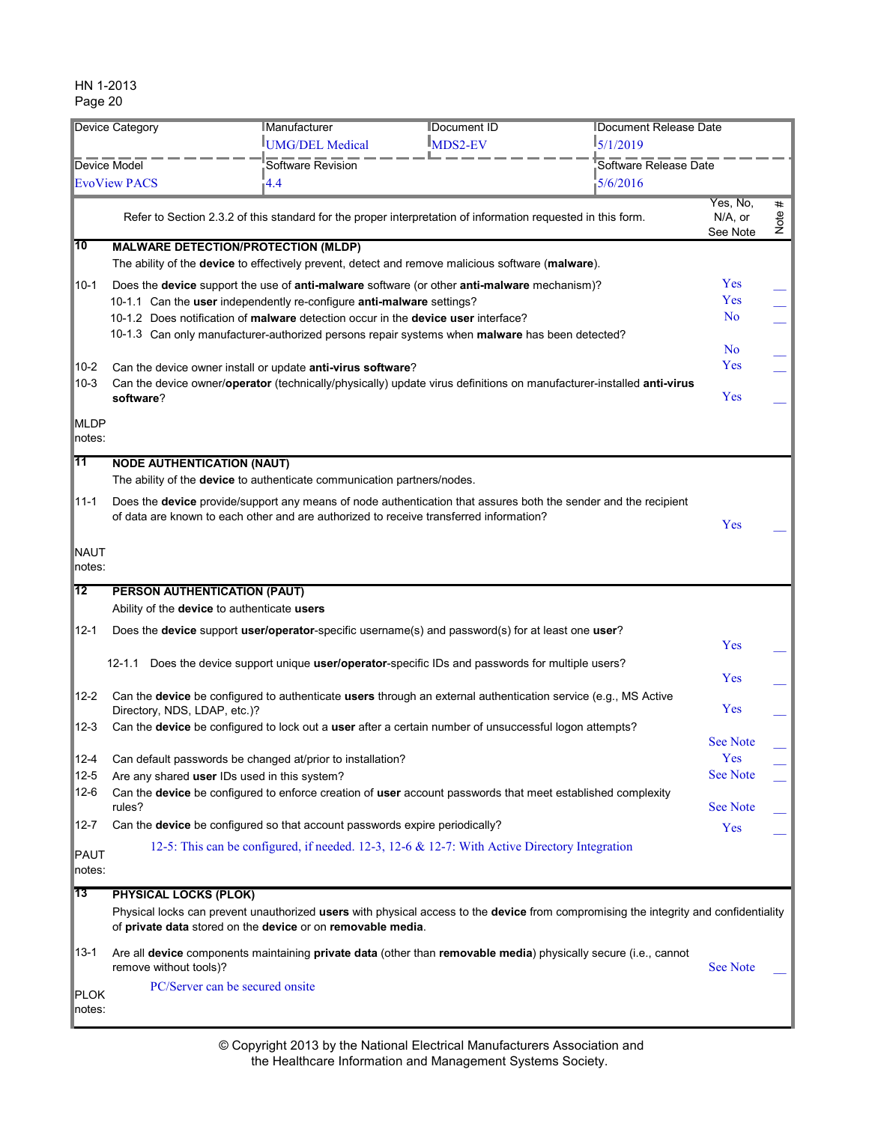| Device Category        |                                             | <b>IManufacturer</b>                                                                                                 | <b>IDocument Release Date</b><br><b>IDocument ID</b> |                                                                                                                                      |                                 |           |
|------------------------|---------------------------------------------|----------------------------------------------------------------------------------------------------------------------|------------------------------------------------------|--------------------------------------------------------------------------------------------------------------------------------------|---------------------------------|-----------|
|                        |                                             | <b>IUMG/DEL Medical</b>                                                                                              | <b>MDS2-EV</b>                                       | 15/1/2019                                                                                                                            |                                 |           |
| <b>Device Model</b>    |                                             | Software Revision                                                                                                    |                                                      | Software Release Date                                                                                                                |                                 |           |
|                        | <b>EvoView PACS</b>                         | -4.4                                                                                                                 |                                                      | 5/6/2016                                                                                                                             |                                 |           |
|                        |                                             | Refer to Section 2.3.2 of this standard for the proper interpretation of information requested in this form.         |                                                      |                                                                                                                                      | Yes, No,<br>N/A, or<br>See Note | #<br>Note |
| 10                     |                                             | <b>MALWARE DETECTION/PROTECTION (MLDP)</b>                                                                           |                                                      |                                                                                                                                      |                                 |           |
|                        |                                             | The ability of the <b>device</b> to effectively prevent, detect and remove malicious software (malware).             |                                                      |                                                                                                                                      |                                 |           |
| 10-1                   |                                             | Does the device support the use of anti-malware software (or other anti-malware mechanism)?                          |                                                      |                                                                                                                                      | <b>Yes</b>                      |           |
|                        |                                             | 10-1.1 Can the user independently re-configure anti-malware settings?                                                |                                                      |                                                                                                                                      | Yes                             |           |
|                        |                                             | 10-1.2 Does notification of malware detection occur in the device user interface?                                    |                                                      |                                                                                                                                      | No                              |           |
|                        |                                             | 10-1.3 Can only manufacturer-authorized persons repair systems when <b>malware</b> has been detected?                |                                                      |                                                                                                                                      |                                 |           |
|                        |                                             |                                                                                                                      |                                                      |                                                                                                                                      | N <sub>0</sub>                  |           |
| $10-2$                 |                                             | Can the device owner install or update anti-virus software?                                                          |                                                      |                                                                                                                                      | Yes                             |           |
| $10-3$                 | software?                                   | Can the device owner/operator (technically/physically) update virus definitions on manufacturer-installed anti-virus |                                                      |                                                                                                                                      | Yes                             |           |
|                        |                                             |                                                                                                                      |                                                      |                                                                                                                                      |                                 |           |
| <b>MLDP</b>            |                                             |                                                                                                                      |                                                      |                                                                                                                                      |                                 |           |
| notes:                 |                                             |                                                                                                                      |                                                      |                                                                                                                                      |                                 |           |
| 11                     | <b>NODE AUTHENTICATION (NAUT)</b>           |                                                                                                                      |                                                      |                                                                                                                                      |                                 |           |
|                        |                                             | The ability of the <b>device</b> to authenticate communication partners/nodes.                                       |                                                      |                                                                                                                                      |                                 |           |
| 11-1                   |                                             | Does the device provide/support any means of node authentication that assures both the sender and the recipient      |                                                      |                                                                                                                                      |                                 |           |
|                        |                                             | of data are known to each other and are authorized to receive transferred information?                               |                                                      |                                                                                                                                      | Yes                             |           |
|                        |                                             |                                                                                                                      |                                                      |                                                                                                                                      |                                 |           |
| NAUT                   |                                             |                                                                                                                      |                                                      |                                                                                                                                      |                                 |           |
| notes:                 |                                             |                                                                                                                      |                                                      |                                                                                                                                      |                                 |           |
| $\overline{12}$        | PERSON AUTHENTICATION (PAUT)                |                                                                                                                      |                                                      |                                                                                                                                      |                                 |           |
|                        | Ability of the device to authenticate users |                                                                                                                      |                                                      |                                                                                                                                      |                                 |           |
| $12 - 1$               |                                             | Does the device support user/operator-specific username(s) and password(s) for at least one user?                    |                                                      |                                                                                                                                      |                                 |           |
|                        |                                             |                                                                                                                      |                                                      |                                                                                                                                      | Yes                             |           |
|                        | 12-1.1                                      | Does the device support unique user/operator-specific IDs and passwords for multiple users?                          |                                                      |                                                                                                                                      |                                 |           |
|                        |                                             |                                                                                                                      |                                                      |                                                                                                                                      | Yes                             |           |
| $12 - 2$               | Directory, NDS, LDAP, etc.)?                | Can the device be configured to authenticate users through an external authentication service (e.g., MS Active       |                                                      |                                                                                                                                      | Yes                             |           |
| 12-3                   |                                             | Can the device be configured to lock out a user after a certain number of unsuccessful logon attempts?               |                                                      |                                                                                                                                      |                                 |           |
|                        |                                             |                                                                                                                      |                                                      |                                                                                                                                      | <b>See Note</b>                 |           |
| 12-4                   |                                             | Can default passwords be changed at/prior to installation?                                                           |                                                      |                                                                                                                                      | Yes                             |           |
| $12 - 5$               |                                             | Are any shared user IDs used in this system?                                                                         |                                                      |                                                                                                                                      | <b>See Note</b>                 |           |
| $12-6$                 |                                             | Can the device be configured to enforce creation of user account passwords that meet established complexity          |                                                      |                                                                                                                                      |                                 |           |
|                        | rules?                                      |                                                                                                                      |                                                      |                                                                                                                                      | See Note                        |           |
| 12-7                   |                                             | Can the device be configured so that account passwords expire periodically?                                          |                                                      |                                                                                                                                      | Yes                             |           |
| PAUT                   |                                             | 12-5: This can be configured, if needed. 12-3, 12-6 & 12-7: With Active Directory Integration                        |                                                      |                                                                                                                                      |                                 |           |
| notes:                 |                                             |                                                                                                                      |                                                      |                                                                                                                                      |                                 |           |
| 13                     | <b>PHYSICAL LOCKS (PLOK)</b>                |                                                                                                                      |                                                      |                                                                                                                                      |                                 |           |
|                        |                                             |                                                                                                                      |                                                      | Physical locks can prevent unauthorized users with physical access to the device from compromising the integrity and confidentiality |                                 |           |
|                        |                                             |                                                                                                                      |                                                      |                                                                                                                                      |                                 |           |
|                        |                                             | of private data stored on the device or on removable media.                                                          |                                                      |                                                                                                                                      |                                 |           |
|                        |                                             |                                                                                                                      |                                                      |                                                                                                                                      |                                 |           |
| 13-1                   |                                             | Are all device components maintaining private data (other than removable media) physically secure (i.e., cannot      |                                                      |                                                                                                                                      |                                 |           |
|                        | remove without tools)?                      |                                                                                                                      |                                                      |                                                                                                                                      | <b>See Note</b>                 |           |
| <b>PLOK</b><br>∣notes: |                                             | PC/Server can be secured onsite                                                                                      |                                                      |                                                                                                                                      |                                 |           |

the Healthcare Information and Management Systems Society. © Copyright 2013 by the National Electrical Manufacturers Association and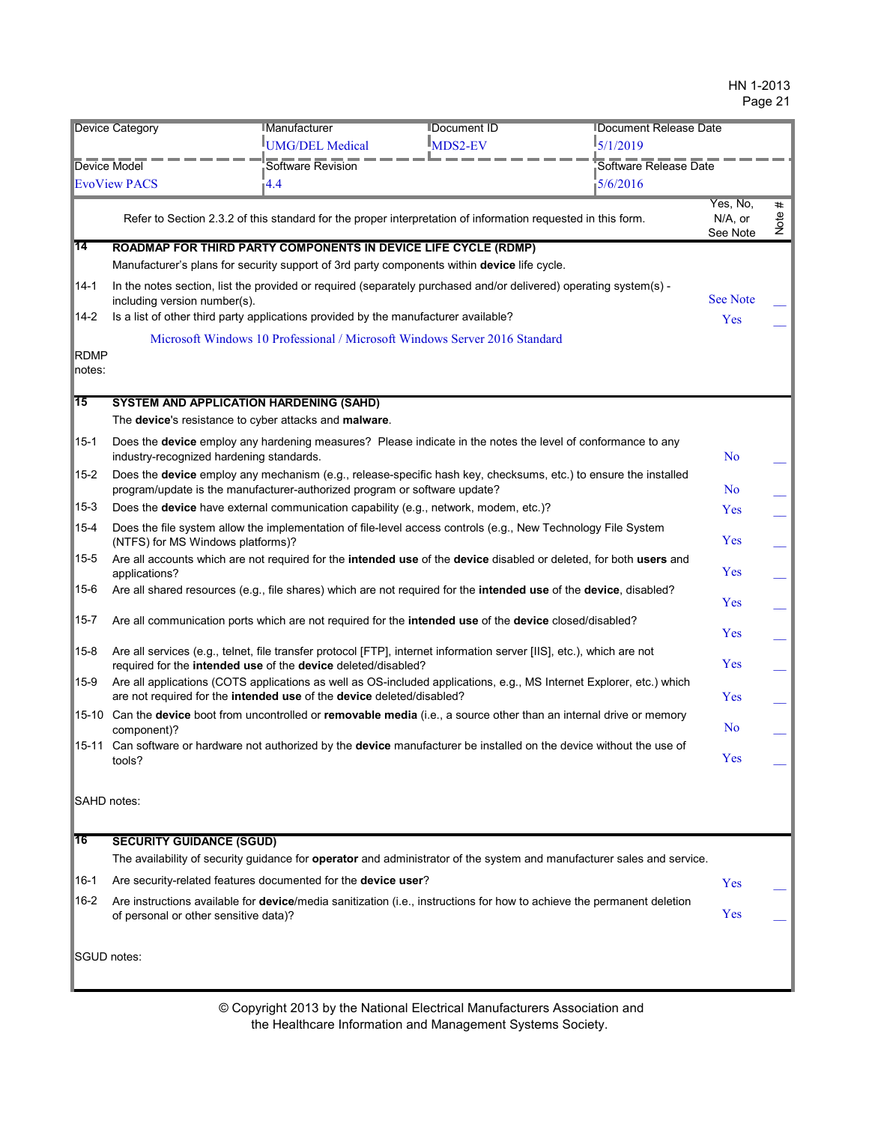| <b>Device Category</b>              |                                                                                                        | <b>IManufacturer</b> | <b>IDocument ID</b>                                                                                                   | <b>IDocument Release Date</b>                                                                                                 |                                 |           |
|-------------------------------------|--------------------------------------------------------------------------------------------------------|----------------------|-----------------------------------------------------------------------------------------------------------------------|-------------------------------------------------------------------------------------------------------------------------------|---------------------------------|-----------|
|                                     |                                                                                                        | UMG/DEL Medical      | $\mathbb{I}_{\text{MDS2-EV}}$                                                                                         | $\frac{1}{2}$ 5/1/2019                                                                                                        |                                 |           |
| Device Model<br><b>EvoView PACS</b> |                                                                                                        | Software Revision    |                                                                                                                       | Software Release Date                                                                                                         |                                 |           |
|                                     |                                                                                                        | $\overline{4.4}$     |                                                                                                                       | 5/6/2016                                                                                                                      |                                 |           |
|                                     |                                                                                                        |                      | Refer to Section 2.3.2 of this standard for the proper interpretation of information requested in this form.          |                                                                                                                               | Yes, No,<br>N/A, or<br>See Note | #<br>Note |
| ∣14                                 | ROADMAP FOR THIRD PARTY COMPONENTS IN DEVICE LIFE CYCLE (RDMP)                                         |                      |                                                                                                                       |                                                                                                                               |                                 |           |
|                                     |                                                                                                        |                      | Manufacturer's plans for security support of 3rd party components within device life cycle.                           |                                                                                                                               |                                 |           |
| 14-1                                | including version number(s).                                                                           |                      | In the notes section, list the provided or required (separately purchased and/or delivered) operating system(s) -     |                                                                                                                               | <b>See Note</b>                 |           |
| 14-2                                | Is a list of other third party applications provided by the manufacturer available?                    |                      |                                                                                                                       |                                                                                                                               | Yes                             |           |
|                                     |                                                                                                        |                      | Microsoft Windows 10 Professional / Microsoft Windows Server 2016 Standard                                            |                                                                                                                               |                                 |           |
| RDMP<br>notes:                      |                                                                                                        |                      |                                                                                                                       |                                                                                                                               |                                 |           |
| 15                                  | <b>SYSTEM AND APPLICATION HARDENING (SAHD)</b>                                                         |                      |                                                                                                                       |                                                                                                                               |                                 |           |
|                                     | The device's resistance to cyber attacks and malware.                                                  |                      |                                                                                                                       |                                                                                                                               |                                 |           |
| $15 - 1$                            | industry-recognized hardening standards.                                                               |                      | Does the device employ any hardening measures? Please indicate in the notes the level of conformance to any           |                                                                                                                               | N <sub>o</sub>                  |           |
| 15-2                                | program/update is the manufacturer-authorized program or software update?                              |                      |                                                                                                                       | Does the device employ any mechanism (e.g., release-specific hash key, checksums, etc.) to ensure the installed               | No                              |           |
| 15-3                                |                                                                                                        |                      | Does the device have external communication capability (e.g., network, modem, etc.)?                                  |                                                                                                                               | Yes                             |           |
| 15-4                                | (NTFS) for MS Windows platforms)?                                                                      |                      | Does the file system allow the implementation of file-level access controls (e.g., New Technology File System         |                                                                                                                               | Yes                             |           |
| 15-5                                | applications?                                                                                          |                      |                                                                                                                       | Are all accounts which are not required for the intended use of the device disabled or deleted, for both users and            | Yes                             |           |
| 15-6                                |                                                                                                        |                      | Are all shared resources (e.g., file shares) which are not required for the intended use of the device, disabled?     |                                                                                                                               | Yes                             |           |
| $ 15 - 7 $                          | Are all communication ports which are not required for the intended use of the device closed/disabled? |                      |                                                                                                                       | Yes                                                                                                                           |                                 |           |
| 15-8                                | required for the intended use of the device deleted/disabled?                                          |                      | Are all services (e.g., telnet, file transfer protocol [FTP], internet information server [IIS], etc.), which are not |                                                                                                                               | Yes                             |           |
| 15-9                                | are not required for the intended use of the device deleted/disabled?                                  |                      |                                                                                                                       | Are all applications (COTS applications as well as OS-included applications, e.g., MS Internet Explorer, etc.) which          | Yes                             |           |
|                                     | component)?                                                                                            |                      |                                                                                                                       | 15-10 Can the device boot from uncontrolled or removable media (i.e., a source other than an internal drive or memory         | No                              |           |
|                                     | tools?                                                                                                 |                      |                                                                                                                       | 15-11 Can software or hardware not authorized by the device manufacturer be installed on the device without the use of        | Yes                             |           |
| SAHD notes:                         |                                                                                                        |                      |                                                                                                                       |                                                                                                                               |                                 |           |
| 16                                  | <b>SECURITY GUIDANCE (SGUD)</b>                                                                        |                      |                                                                                                                       |                                                                                                                               |                                 |           |
|                                     |                                                                                                        |                      |                                                                                                                       | The availability of security guidance for <b>operator</b> and administrator of the system and manufacturer sales and service. |                                 |           |
| 16-1                                | Are security-related features documented for the device user?                                          |                      |                                                                                                                       |                                                                                                                               | Yes                             |           |
| $16 - 2$                            | of personal or other sensitive data)?                                                                  |                      |                                                                                                                       | Are instructions available for device/media sanitization (i.e., instructions for how to achieve the permanent deletion        | Yes                             |           |
| SGUD notes:                         |                                                                                                        |                      |                                                                                                                       |                                                                                                                               |                                 |           |